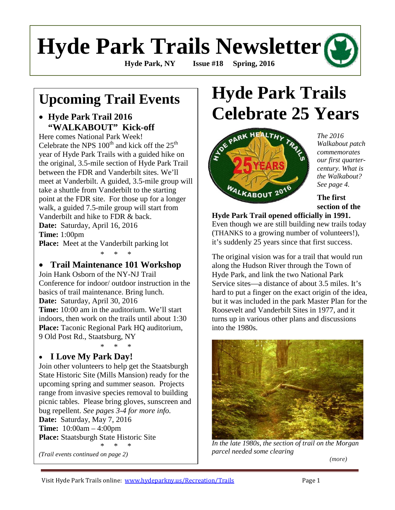# **Hyde Park Trails Newsletter**

**Hyde Park, NY Issue #18 Spring, 2016** 

### **Upcoming Trail Events**

#### • **Hyde Park Trail 2016 "WALKABOUT" Kick-off**

Here comes National Park Week! Celebrate the NPS  $100<sup>th</sup>$  and kick off the  $25<sup>th</sup>$ year of Hyde Park Trails with a guided hike on the original, 3.5-mile section of Hyde Park Trail between the FDR and Vanderbilt sites. We'll meet at Vanderbilt. A guided, 3.5-mile group will take a shuttle from Vanderbilt to the starting point at the FDR site. For those up for a longer walk, a guided 7.5-mile group will start from Vanderbilt and hike to FDR & back. **Date:** Saturday, April 16, 2016 **Time:** 1:00pm **Place:** Meet at the Vanderbilt parking lot

#### • **Trail Maintenance 101 Workshop**

\* \* \*

Join Hank Osborn of the NY-NJ Trail Conference for indoor/ outdoor instruction in the basics of trail maintenance. Bring lunch. **Date:** Saturday, April 30, 2016 **Time:** 10:00 am in the auditorium. We'll start indoors, then work on the trails until about 1:30 **Place:** Taconic Regional Park HQ auditorium, 9 Old Post Rd., Staatsburg, NY

\* \* \* • **I Love My Park Day!**

Join other volunteers to help get the Staatsburgh State Historic Site (Mills Mansion) ready for the upcoming spring and summer season. Projects range from invasive species removal to building picnic tables. Please bring gloves, sunscreen and bug repellent. *See pages 3-4 for more info.* **Date:** Saturday, May 7, 2016 **Time:** 10:00am – 4:00pm **Place:** Staatsburgh State Historic Site \* \* \* *(Trail events continued on page 2)*

## **Hyde Park Trails Celebrate 25 Years**



*The 2016 Walkabout patch commemorates our first quartercentury. What is the Walkabout? See page 4.* 

**The first section of the** 

**Hyde Park Trail opened officially in 1991.** Even though we are still building new trails today

(THANKS to a growing number of volunteers!), it's suddenly 25 years since that first success.

The original vision was for a trail that would run along the Hudson River through the Town of Hyde Park, and link the two National Park Service sites—a distance of about 3.5 miles. It's hard to put a finger on the exact origin of the idea, but it was included in the park Master Plan for the Roosevelt and Vanderbilt Sites in 1977, and it turns up in various other plans and discussions into the 1980s.



*In the late 1980s, the section of trail on the Morgan parcel needed some clearing*

*(more)*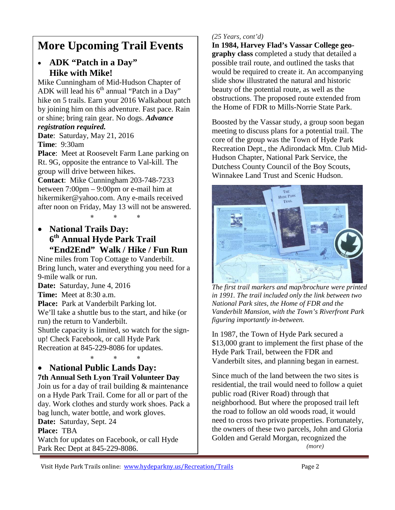### **More Upcoming Trail Events**

#### • **ADK "Patch in a Day" Hike with Mike!**

Mike Cunningham of Mid-Hudson Chapter of ADK will lead his  $6<sup>th</sup>$  annual "Patch in a Day" hike on 5 trails. Earn your 2016 Walkabout patch by joining him on this adventure. Fast pace. Rain or shine; bring rain gear. No dogs. *Advance* 

#### *registration required.*

**Date**: Saturday, May 21, 2016

**Time**: 9:30am

**Place**: Meet at Roosevelt Farm Lane parking on Rt. 9G, opposite the entrance to Val-kill. The group will drive between hikes.

**Contact**: Mike Cunningham 203-748-7233 between 7:00pm – 9:00pm or e-mail him at hikermiker@yahoo.com. Any e-mails received after noon on Friday, May 13 will not be answered.

∗ ∗ ∗

• **National Trails Day: 6th Annual Hyde Park Trail "End2End" Walk / Hike / Fun Run**

Nine miles from Top Cottage to Vanderbilt. Bring lunch, water and everything you need for a 9-mile walk or run.

**Date:** Saturday, June 4, 2016

**Time:** Meet at 8:30 a.m.

**Place:** Park at Vanderbilt Parking lot.

We'll take a shuttle bus to the start, and hike (or run) the return to Vanderbilt.

Shuttle capacity is limited, so watch for the signup! Check Facebook, or call Hyde Park Recreation at 845-229-8086 for updates.

#### ∗ ∗ ∗ • **National Public Lands Day: 7th Annual Seth Lyon Trail Volunteer Day**

Join us for a day of trail building & maintenance on a Hyde Park Trail. Come for all or part of the day. Work clothes and sturdy work shoes. Pack a bag lunch, water bottle, and work gloves. **Date:** Saturday, Sept. 24

**Place:** TBA

Watch for updates on Facebook, or call Hyde Park Rec Dept at 845-229-8086.

#### *(25 Years, cont'd)*

**In 1984, Harvey Flad's Vassar College geography class** completed a study that detailed a possible trail route, and outlined the tasks that would be required to create it. An accompanying slide show illustrated the natural and historic beauty of the potential route, as well as the obstructions. The proposed route extended from the Home of FDR to Mills-Norrie State Park.

Boosted by the Vassar study, a group soon began meeting to discuss plans for a potential trail. The core of the group was the Town of Hyde Park Recreation Dept., the Adirondack Mtn. Club Mid-Hudson Chapter, National Park Service, the Dutchess County Council of the Boy Scouts, Winnakee Land Trust and Scenic Hudson.



*The first trail markers and map/brochure were printed in 1991. The trail included only the link between two National Park sites, the Home of FDR and the Vanderbilt Mansion, with the Town's Riverfront Park figuring importantly in-between.*

In 1987, the Town of Hyde Park secured a \$13,000 grant to implement the first phase of the Hyde Park Trail, between the FDR and Vanderbilt sites, and planning began in earnest.

Since much of the land between the two sites is residential, the trail would need to follow a quiet public road (River Road) through that neighborhood. But where the proposed trail left the road to follow an old woods road, it would need to cross two private properties. Fortunately, the owners of these two parcels, John and Gloria Golden and Gerald Morgan, recognized the  *(more)*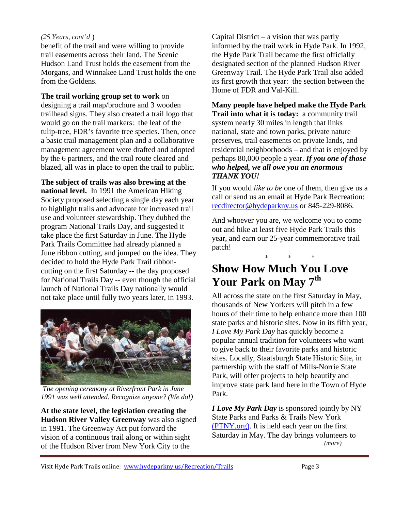#### *(25 Years, cont'd* )

benefit of the trail and were willing to provide trail easements across their land. The Scenic Hudson Land Trust holds the easement from the Morgans, and Winnakee Land Trust holds the one from the Goldens.

**The trail working group set to work** on designing a trail map/brochure and 3 wooden trailhead signs. They also created a trail logo that would go on the trail markers: the leaf of the tulip-tree, FDR's favorite tree species. Then, once a basic trail management plan and a collaborative management agreement were drafted and adopted by the 6 partners, and the trail route cleared and blazed, all was in place to open the trail to public.

**The subject of trails was also brewing at the national level.** In 1991 the American Hiking Society proposed selecting a single day each year to highlight trails and advocate for increased trail use and volunteer stewardship. They dubbed the program National Trails Day, and suggested it take place the first Saturday in June. The Hyde Park Trails Committee had already planned a June ribbon cutting, and jumped on the idea. They decided to hold the Hyde Park Trail ribboncutting on the first Saturday -- the day proposed for National Trails Day -- even though the official launch of National Trails Day nationally would not take place until fully two years later, in 1993.



*The opening ceremony at Riverfront Park in June 1991 was well attended. Recognize anyone? (We do!)*

**At the state level, the legislation creating the Hudson River Valley Greenway** was also signed in 1991. The Greenway Act put forward the vision of a continuous trail along or within sight of the Hudson River from New York City to the

Capital District – a vision that was partly informed by the trail work in Hyde Park. In 1992, the Hyde Park Trail became the first officially designated section of the planned Hudson River Greenway Trail. The Hyde Park Trail also added its first growth that year: the section between the Home of FDR and Val-Kill.

**Many people have helped make the Hyde Park Trail into what it is today:** a community trail system nearly 30 miles in length that links national, state and town parks, private nature preserves, trail easements on private lands, and residential neighborhoods – and that is enjoyed by perhaps 80,000 people a year. *If you one of those who helped, we all owe you an enormous THANK YOU!*

If you would *like to be* one of them, then give us a call or send us an email at Hyde Park Recreation: [recdirector@hydeparkny.us](mailto:recdirector@hydeparkny.us) or 845-229-8086.

And whoever you are, we welcome you to come out and hike at least five Hyde Park Trails this year, and earn our 25-year commemorative trail patch!

∗ ∗ ∗

### **Show How Much You Love Your Park on May 7th**

All across the state on the first Saturday in May, thousands of New Yorkers will pitch in a few hours of their time to help enhance more than 100 state parks and historic sites. Now in its fifth year, *I Love My Park Day* has quickly become a popular annual tradition for volunteers who want to give back to their favorite parks and historic sites. Locally, Staatsburgh State Historic Site, in partnership with the staff of Mills-Norrie State Park, will offer projects to help beautify and improve state park land here in the Town of Hyde Park.

*I Love My Park Day* is sponsored jointly by NY State Parks and Parks & Trails New York [\(PTNY.org\).](http://www.ptny.org/get-involved/volunteer/i-love-my-park-day.) It is held each year on the first Saturday in May. The day brings volunteers to *(more)*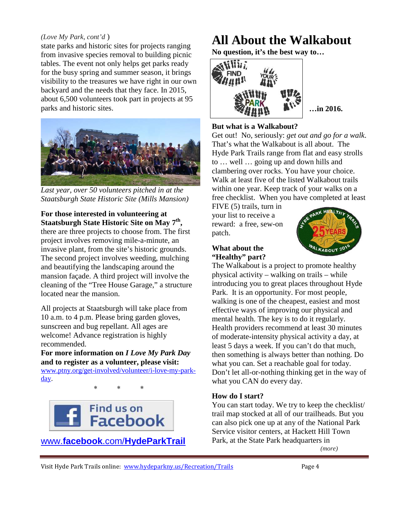#### *(Love My Park, cont'd* )

state parks and historic sites for projects ranging from invasive species removal to building picnic tables. The event not only helps get parks ready for the busy spring and summer season, it brings visibility to the treasures we have right in our own backyard and the needs that they face. In 2015, about 6,500 volunteers took part in projects at 95 parks and historic sites.



*Last year, over 50 volunteers pitched in at the Staatsburgh State Historic Site (Mills Mansion)*

#### **For those interested in volunteering at Staatsburgh State Historic Site on May 7th,**

there are three projects to choose from. The first project involves removing mile-a-minute, an invasive plant, from the site's historic grounds. The second project involves weeding, mulching and beautifying the landscaping around the mansion façade. A third project will involve the cleaning of the "Tree House Garage," a structure located near the mansion.

All projects at Staatsburgh will take place from 10 a.m. to 4 p.m. Please bring garden gloves, sunscreen and bug repellant. All ages are welcome! Advance registration is highly recommended.

**For more information on** *I Love My Park Day* **and to register as a volunteer, please visit:**  [www.ptny.org/get-involved/volunteer/i-love-my-park](http://www.ptny.org/get-involved/volunteer/i-love-my-park-day)[day.](http://www.ptny.org/get-involved/volunteer/i-love-my-park-day)

∗ ∗ ∗



www.**facebook**.com/**[HydeParkTrail](http://www.facebook.com/HydeParkTrail)**

### **All About the Walkabout**

**No question, it's the best way to…**



**…in 2016.**

#### **But what is a Walkabout?**

Get out! No, seriously: *get out and go for a walk*. That's what the Walkabout is all about. The Hyde Park Trails range from flat and easy strolls to … well … going up and down hills and clambering over rocks. You have your choice. Walk at least five of the listed Walkabout trails within one year. Keep track of your walks on a free checklist. When you have completed at least

FIVE (5) trails, turn in your list to receive a reward: a free, sew-on patch.



#### **What about the "Healthy" part?**

The Walkabout is a project to promote healthy physical activity – walking on trails – while introducing you to great places throughout Hyde Park. It is an opportunity. For most people, walking is one of the cheapest, easiest and most effective ways of improving our physical and mental health. The key is to do it regularly. Health providers recommend at least 30 minutes of moderate-intensity physical activity a day, at least 5 days a week. If you can't do that much, then something is always better than nothing. Do what you can. Set a reachable goal for today. Don't let all-or-nothing thinking get in the way of what you CAN do every day.

#### **How do I start?**

You can start today. We try to keep the checklist/ trail map stocked at all of our trailheads. But you can also pick one up at any of the National Park Service visitor centers, at Hackett Hill Town Park, at the State Park headquarters in

 *(more)*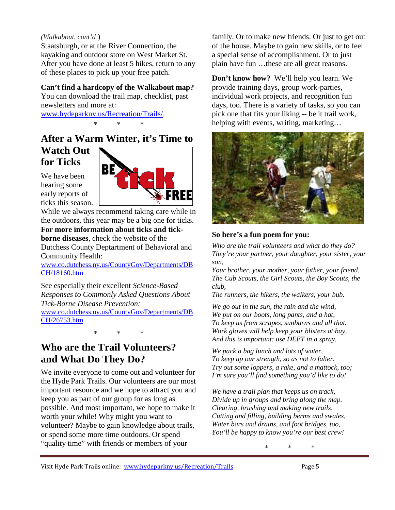#### *(Walkabout, cont'd* )

Staatsburgh, or at the River Connection, the kayaking and outdoor store on West Market St. After you have done at least 5 hikes, return to any of these places to pick up your free patch.

#### **Can't find a hardcopy of the Walkabout map?**

You can download the trail map, checklist, past newsletters and more at: [www.hydeparkny.us/Recreation/Trails/.](http://www.hydeparkny.us/Recreation/Trails/)

∗ ∗ ∗

### **After a Warm Winter, it's Time to**

#### **Watch Out for Ticks**

We have been hearing some early reports of ticks this season.



While we always recommend taking care while in the outdoors, this year may be a big one for ticks.

#### **For more information about ticks and tick-**

**borne diseases**, check the website of the Dutchess County Deptartment of Behavioral and Community Health:

[www.co.dutchess.ny.us/CountyGov/Departments/DB](http://www.co.dutchess.ny.us/CountyGov/Departments/DBCH/18160.htm) [CH/18160.htm](http://www.co.dutchess.ny.us/CountyGov/Departments/DBCH/18160.htm)

See especially their excellent *Science-Based Responses to Commonly Asked Questions About Tick-Borne Disease Prevention:* [www.co.dutchess.ny.us/CountyGov/Departments/DB](http://www.co.dutchess.ny.us/CountyGov/Departments/DBCH/26753.htm) [CH/26753.htm](http://www.co.dutchess.ny.us/CountyGov/Departments/DBCH/26753.htm)

∗ ∗ ∗

#### **Who are the Trail Volunteers? and What Do They Do?**

We invite everyone to come out and volunteer for the Hyde Park Trails. Our volunteers are our most important resource and we hope to attract you and keep you as part of our group for as long as possible. And most important, we hope to make it worth your while! Why might you want to volunteer? Maybe to gain knowledge about trails, or spend some more time outdoors. Or spend "quality time" with friends or members of your

family. Or to make new friends. Or just to get out of the house. Maybe to gain new skills, or to feel a special sense of accomplishment. Or to just plain have fun …these are all great reasons.

**Don't know how?** We'll help you learn. We provide training days, group work-parties, individual work projects, and recognition fun days, too. There is a variety of tasks, so you can pick one that fits your liking -- be it trail work, helping with events, writing, marketing…



#### **So here's a fun poem for you:**

*Who are the trail volunteers and what do they do? They're your partner, your daughter, your sister, your son,*

*Your brother, your mother, your father, your friend, The Cub Scouts, the Girl Scouts, the Boy Scouts, the club,*

*The runners, the hikers, the walkers, your bub.*

*We go out in the sun, the rain and the wind, We put on our boots, long pants, and a hat, To keep us from scrapes, sunburns and all that. Work gloves will help keep your blisters at bay, And this is important: use DEET in a spray.*

*We pack a bag lunch and lots of water, To keep up our strength, so as not to falter. Try out some loppers, a rake, and a mattock, too; I'm sure you'll find something you'd like to do!*

*We have a trail plan that keeps us on track, Divide up in groups and bring along the map. Clearing, brushing and making new trails, Cutting and filling, building berms and swales, Water bars and drains, and foot bridges, too, You'll be happy to know you're our best crew!*

∗ ∗ ∗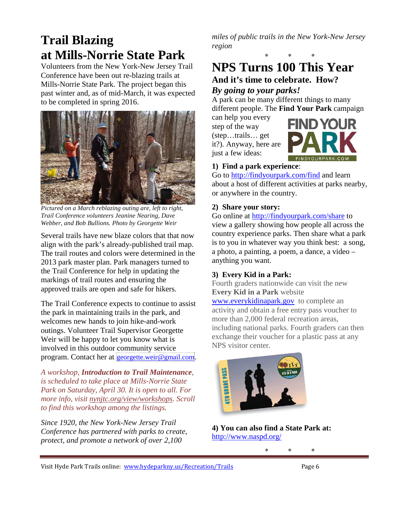### **Trail Blazing at Mills-Norrie State Park**

Volunteers from the New York-New Jersey Trail Conference have been out re-blazing trails at Mills-Norrie State Park. The project began this past winter and, as of mid-March, it was expected to be completed in spring 2016.



*Pictured on a March reblazing outing are, left to right, Trail Conference volunteers Jeanine Nearing, Dave Webber, and Bob Bullions. Photo by Georgette Weir*

Several trails have new blaze colors that that now align with the park's already-published trail map. The trail routes and colors were determined in the 2013 park master plan. Park managers turned to the Trail Conference for help in updating the markings of trail routes and ensuring the approved trails are open and safe for hikers.

The Trail Conference expects to continue to assist the park in maintaining trails in the park, and welcomes new hands to join hike-and-work outings. Volunteer Trail Supervisor Georgette Weir will be happy to let you know what is involved in this outdoor community service program. Contact her at **georgette** weir@gmail.com.

*A workshop, Introduction to Trail Maintenance, is scheduled to take place at Mills-Norrie State Park on Saturday, April 30. It is open to all. For more info, visit [nynjtc.org/view/workshops.](http://nynjtc.org/view/workshops) Scroll to find this workshop among the listings.*

*Since 1920, the New York-New Jersey Trail Conference has partnered with parks to create, protect, and promote a network of over 2,100* 

*miles of public trails in the New York-New Jersey region*

### ∗ ∗ ∗ **NPS Turns 100 This Year**

#### **And it's time to celebrate. How?**  *By going to your parks!*

A park can be many different things to many different people. The **Find Your Park** campaign

can help you every step of the way (step…trails… get it?). Anyway, here are just a few ideas:



#### **1) Find a park experience**:

Go to<http://findyourpark.com/find> and learn about a host of different activities at parks nearby, or anywhere in the country.

#### **2) Share your story:**

Go online at<http://findyourpark.com/share> to view a gallery showing how people all across the country experience parks. Then share what a park is to you in whatever way you think best: a song, a photo, a painting, a poem, a dance, a video – anything you want.

#### **3) Every Kid in a Park:**

Fourth graders nationwide can visit the new **Every Kid in a Park** website

[www.everykidinapark.gov](http://www.everykidinapark.gov/) to complete an activity and obtain a free entry pass voucher to more than 2,000 federal recreation areas, including national parks. Fourth graders can then exchange their voucher for a plastic pass at any NPS visitor center.



**4) You can also find a State Park at:** <http://www.naspd.org/>

∗ ∗ ∗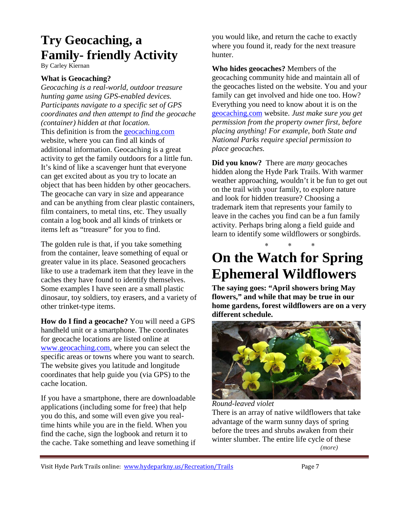### **Try Geocaching, a Family- friendly Activity**

By Carley Kiernan

#### **What is Geocaching?**

*Geocaching is a real-world, outdoor treasure hunting game using GPS-enabled devices. Participants navigate to a specific set of GPS coordinates and then attempt to find the geocache (container) hidden at that location.* This definition is from the [geocaching.com](http://www.geocaching.com/) website, where you can find all kinds of additional information. Geocaching is a great activity to get the family outdoors for a little fun. It's kind of like a scavenger hunt that everyone can get excited about as you try to locate an object that has been hidden by other geocachers. The geocache can vary in size and appearance and can be anything from clear plastic containers, film containers, to metal tins, etc. They usually contain a log book and all kinds of trinkets or items left as "treasure" for you to find.

The golden rule is that, if you take something from the container, leave something of equal or greater value in its place. Seasoned geocachers like to use a trademark item that they leave in the caches they have found to identify themselves. Some examples I have seen are a small plastic dinosaur, toy soldiers, toy erasers, and a variety of other trinket-type items.

**How do I find a geocache?** You will need a GPS handheld unit or a smartphone. The coordinates for geocache locations are listed online at [www.geocaching.com,](http://www.geocaching.com/) where you can select the specific areas or towns where you want to search. The website gives you latitude and longitude coordinates that help guide you (via GPS) to the cache location.

If you have a smartphone, there are downloadable applications (including some for free) that help you do this, and some will even give you realtime hints while you are in the field. When you find the cache, sign the logbook and return it to the cache. Take something and leave something if you would like, and return the cache to exactly where you found it, ready for the next treasure hunter.

**Who hides geocaches?** Members of the geocaching community hide and maintain all of the geocaches listed on the website. You and your family can get involved and hide one too. How? Everything you need to know about it is on the [geocaching.com](http://www.geocaching.com/) website. *Just make sure you get permission from the property owner first, before placing anything! For example, both State and National Parks require special permission to place geocaches.*

**Did you know?** There are *many* geocaches hidden along the Hyde Park Trails. With warmer weather approaching, wouldn't it be fun to get out on the trail with your family, to explore nature and look for hidden treasure? Choosing a trademark item that represents your family to leave in the caches you find can be a fun family activity. Perhaps bring along a field guide and learn to identify some wildflowers or songbirds.

### ∗ ∗ ∗ **On the Watch for Spring Ephemeral Wildflowers**

**The saying goes: "April showers bring May flowers," and while that may be true in our home gardens, forest wildflowers are on a very different schedule.**



*Round-leaved violet* There is an array of native wildflowers that take advantage of the warm sunny days of spring before the trees and shrubs awaken from their winter slumber. The entire life cycle of these *(more)*